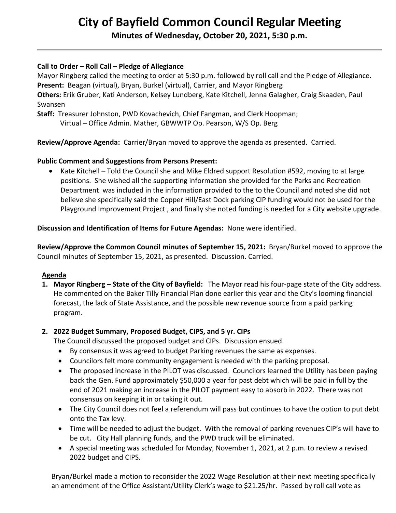# **City of Bayfield Common Council Regular Meeting**

**Minutes of Wednesday, October 20, 2021, 5:30 p.m.** 

## **Call to Order – Roll Call – Pledge of Allegiance**

Mayor Ringberg called the meeting to order at 5:30 p.m. followed by roll call and the Pledge of Allegiance. **Present:** Beagan (virtual), Bryan, Burkel (virtual), Carrier, and Mayor Ringberg **Others:** Erik Gruber, Kati Anderson, Kelsey Lundberg, Kate Kitchell, Jenna Galagher, Craig Skaaden, Paul

Swansen

**Staff:** Treasurer Johnston, PWD Kovachevich, Chief Fangman, and Clerk Hoopman;

Virtual – Office Admin. Mather, GBWWTP Op. Pearson, W/S Op. Berg

**Review/Approve Agenda:** Carrier/Bryan moved to approve the agenda as presented. Carried.

## **Public Comment and Suggestions from Persons Present:**

• Kate Kitchell – Told the Council she and Mike Eldred support Resolution #592, moving to at large positions. She wished all the supporting information she provided for the Parks and Recreation Department was included in the information provided to the to the Council and noted she did not believe she specifically said the Copper Hill/East Dock parking CIP funding would not be used for the Playground Improvement Project , and finally she noted funding is needed for a City website upgrade.

**Discussion and Identification of Items for Future Agendas:** None were identified.

**Review/Approve the Common Council minutes of September 15, 2021:** Bryan/Burkel moved to approve the Council minutes of September 15, 2021, as presented. Discussion. Carried.

### **Agenda**

**1. Mayor Ringberg – State of the City of Bayfield:** The Mayor read his four-page state of the City address. He commented on the Baker Tilly Financial Plan done earlier this year and the City's looming financial forecast, the lack of State Assistance, and the possible new revenue source from a paid parking program.

## **2. 2022 Budget Summary, Proposed Budget, CIPS, and 5 yr. CIPs**

The Council discussed the proposed budget and CIPs. Discussion ensued.

- By consensus it was agreed to budget Parking revenues the same as expenses.
- Councilors felt more community engagement is needed with the parking proposal.
- The proposed increase in the PILOT was discussed. Councilors learned the Utility has been paying back the Gen. Fund approximately \$50,000 a year for past debt which will be paid in full by the end of 2021 making an increase in the PILOT payment easy to absorb in 2022. There was not consensus on keeping it in or taking it out.
- The City Council does not feel a referendum will pass but continues to have the option to put debt onto the Tax levy.
- Time will be needed to adjust the budget. With the removal of parking revenues CIP's will have to be cut. City Hall planning funds, and the PWD truck will be eliminated.
- A special meeting was scheduled for Monday, November 1, 2021, at 2 p.m. to review a revised 2022 budget and CIPS.

 Bryan/Burkel made a motion to reconsider the 2022 Wage Resolution at their next meeting specifically an amendment of the Office Assistant/Utility Clerk's wage to \$21.25/hr. Passed by roll call vote as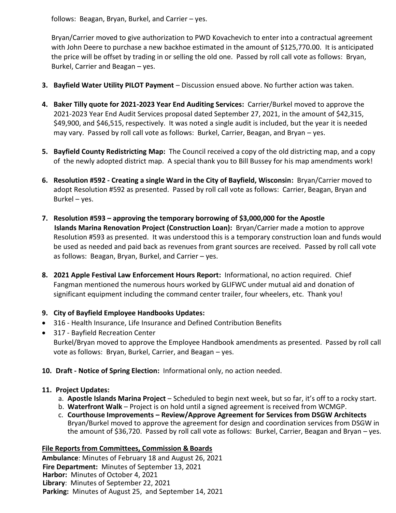follows: Beagan, Bryan, Burkel, and Carrier – yes.

 Bryan/Carrier moved to give authorization to PWD Kovachevich to enter into a contractual agreement with John Deere to purchase a new backhoe estimated in the amount of \$125,770.00. It is anticipated the price will be offset by trading in or selling the old one. Passed by roll call vote as follows: Bryan, Burkel, Carrier and Beagan – yes.

- **3. Bayfield Water Utility PILOT Payment** Discussion ensued above. No further action was taken.
- **4. Baker Tilly quote for 2021-2023 Year End Auditing Services:** Carrier/Burkel moved to approve the 2021-2023 Year End Audit Services proposal dated September 27, 2021, in the amount of \$42,315, \$49,900, and \$46,515, respectively. It was noted a single audit is included, but the year it is needed may vary. Passed by roll call vote as follows: Burkel, Carrier, Beagan, and Bryan – yes.
- **5. Bayfield County Redistricting Map:** The Council received a copy of the old districting map, and a copy of the newly adopted district map. A special thank you to Bill Bussey for his map amendments work!
- **6. Resolution #592 - Creating a single Ward in the City of Bayfield, Wisconsin:** Bryan/Carrier moved to adopt Resolution #592 as presented. Passed by roll call vote as follows: Carrier, Beagan, Bryan and Burkel – yes.
- **7. Resolution #593 – approving the temporary borrowing of \$3,000,000 for the Apostle Islands Marina Renovation Project (Construction Loan):** Bryan/Carrier made a motion to approve Resolution #593 as presented. It was understood this is a temporary construction loan and funds would be used as needed and paid back as revenues from grant sources are received. Passed by roll call vote as follows: Beagan, Bryan, Burkel, and Carrier – yes.
- **8. 2021 Apple Festival Law Enforcement Hours Report:** Informational, no action required. Chief Fangman mentioned the numerous hours worked by GLIFWC under mutual aid and donation of significant equipment including the command center trailer, four wheelers, etc. Thank you!
- **9. City of Bayfield Employee Handbooks Updates:**
- 316 Health Insurance, Life Insurance and Defined Contribution Benefits
- 317 Bayfield Recreation Center Burkel/Bryan moved to approve the Employee Handbook amendments as presented. Passed by roll call vote as follows: Bryan, Burkel, Carrier, and Beagan – yes.
- **10. Draft - Notice of Spring Election:** Informational only, no action needed.

# **11. Project Updates:**

- a. **Apostle Islands Marina Project** Scheduled to begin next week, but so far, it's off to a rocky start.
- b. **Waterfront Walk** Project is on hold until a signed agreement is received from WCMGP.
- c. **Courthouse Improvements – Review/Approve Agreement for Services from DSGW Architects** Bryan/Burkel moved to approve the agreement for design and coordination services from DSGW in the amount of \$36,720. Passed by roll call vote as follows: Burkel, Carrier, Beagan and Bryan – yes.

# **File Reports from Committees, Commission & Boards**

**Ambulance**: Minutes of February 18 and August 26, 2021  **Fire Department:** Minutes of September 13, 2021  **Harbor:** Minutes of October 4, 2021  **Library**: Minutes of September 22, 2021  **Parking:** Minutes of August 25, and September 14, 2021